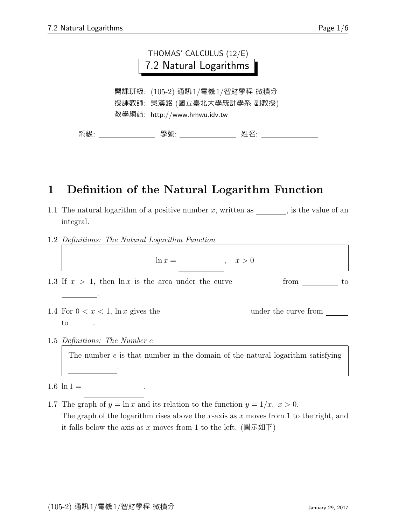|                                                                                             | THOMAS' CALCULUS (12/E)<br>7.2 Natural Logarithms |  |  |
|---------------------------------------------------------------------------------------------|---------------------------------------------------|--|--|
| 開課班級: (105-2) 通訊1/電機1/智財學程 微積分<br>授課教師:吳漢銘 (國立臺北大學統計學系 副教授)<br>教學網站: http://www.hmwu.idv.tw |                                                   |  |  |
| 系級:                                                                                         | 學號: 2000<br>姓名:                                   |  |  |

## 1 Definition of the Natural Logarithm Function

- 1.1 The natural logarithm of a positive number x, written as  $\frac{1}{\sqrt{2}}$ , is the value of an integral.
- 1.2 Definitions: The Natural Logarithm Function

dt  $\mathbb{R}^d$ 

| $\ln x =$<br>x > 0                                                              |                      |
|---------------------------------------------------------------------------------|----------------------|
| 1.3 If $x > 1$ , then $\ln x$ is the area under the curve                       | from<br>to           |
|                                                                                 |                      |
| 1.4 For $0 < x < 1$ , $\ln x$ gives the                                         | under the curve from |
| to                                                                              |                      |
| 1.5 Definitions: The Number e                                                   |                      |
| The number $e$ is that number in the domain of the natural logarithm satisfying |                      |
|                                                                                 |                      |

#### $1.6 \ln 1 =$

1.7 The graph of  $y = \ln x$  and its relation to the function  $y = 1/x$ ,  $x > 0$ . The graph of the logarithm rises above the x-axis as  $x$  moves from 1 to the right, and it falls below the axis as x moves from 1 to the left. (圖示如下)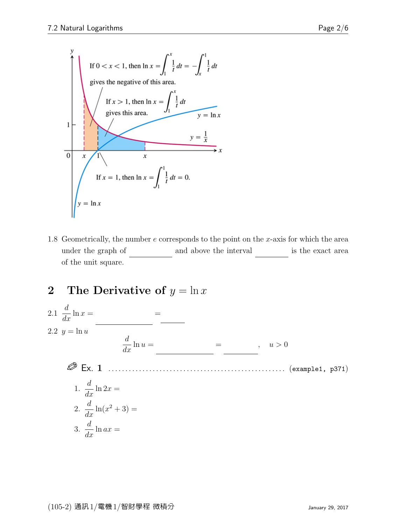

1.8 Geometrically, the number  $e$  corresponds to the point on the  $x$ -axis for which the area under the graph of  $\_\_$  and above the interval  $\_\_$  is the exact area of the unit square.

### 2 The Derivative of  $y = \ln x$

2.1 
$$
\frac{d}{dx}
$$
 ln  $x =$   
\n2.2  $y = \ln u$   
\n
$$
\frac{d}{dx} \ln u =
$$
\n
$$
\frac{d}{dx} \ln u =
$$
\n
$$
\frac{d}{dx} \ln u =
$$
\n
$$
\frac{d}{dx} \ln u =
$$
\n
$$
\frac{d}{dx} \ln u =
$$
\n(example1, p371)\n  
\n1.  $\frac{d}{dx} \ln 2x =$   
\n2.  $\frac{d}{dx} \ln (x^2 + 3) =$   
\n3.  $\frac{d}{dx} \ln ax =$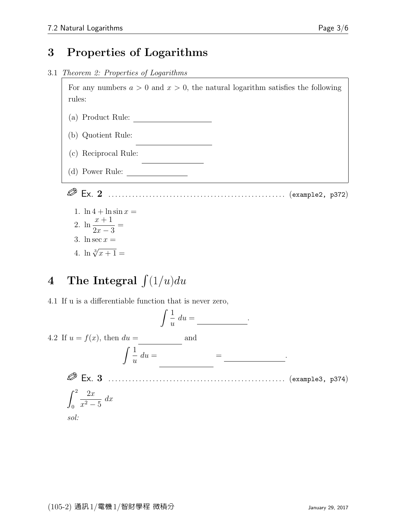### 3 Properties of Logarithms

3.1 Theorem 2: Properties of Logarithms

For any numbers  $a > 0$  and  $x > 0$ , the natural logarithm satisfies the following rules:

(a) Product Rule:  $\begin{tabular}{|c|c|} \hline \quad \quad & \quad \quad & \quad \quad \\ \hline \end{tabular}$ 

 $\ddot{x}$ 

 $\overline{a}$ 

- $(b)$  Quotient Rule:
- $(c)$  Reciprocal Rule:

(d) Power Rule:  $\frac{\phantom{1}}{2\pi}$ 

Ex. 2 . . . . . . . . . . . . . . . . . . . . . . . . . . . . . . . . . . . . . . . . . . . . . . . . . . . . (example2, p372)

- 1.  $\ln 4 + \ln \sin x =$ 2.  $\ln \frac{x+1}{2}$  $2x-3$ = 3. ln sec  $x =$
- 4.  $\ln \sqrt[3]{x+1} =$

# 4 The Integral  $\int (1/u) du$

4.1 If u is a differentiable function that is never zero,

$$
\int \frac{1}{u} \, du = \underline{\qquad}.
$$

4.2 If  $u = f(x)$ , then  $du =$  and -

$$
\int \frac{1}{u} \, du =
$$

 Ex. 3 . . . . . . . . . . . . . . . . . . . . . . . . . . . . . . . . . . . . . . . . . . . . . . . . . . . . (example3, p374)  $\alpha$ <sup>2</sup>  $2x$  $dx$ 

$$
\int_0^2 \frac{2x}{x^2 - 5}
$$
  
*sol:*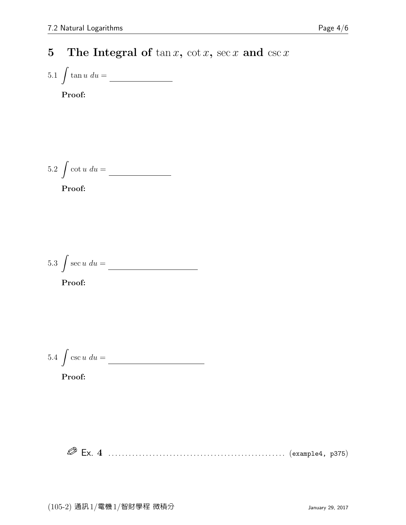## 5 The Integral of  $\tan x$ ,  $\cot x$ ,  $\sec x$  and  $\csc x$

$$
5.1 \int \tan u \, du = \underline{\hspace{2cm}}
$$
 **Proof:**

5.2 
$$
\int \cot u \, du =
$$

Proof:

5.3 
$$
\int \sec u \, du =
$$

Proof:

$$
5.4 \int \csc u \, du = \boxed{\qquad \qquad }
$$

Proof:

Ex. 4 . . . . . . . . . . . . . . . . . . . . . . . . . . . . . . . . . . . . . . . . . . . . . . . . . . . . (example4, p375)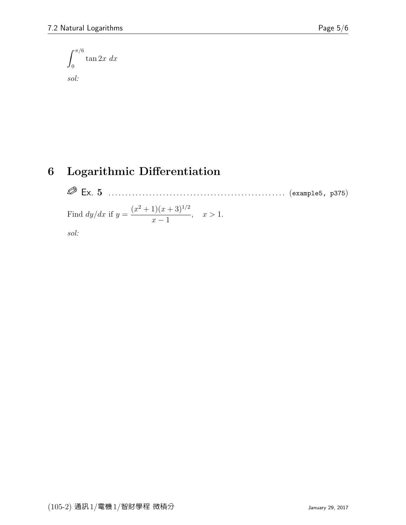$$
\int_0^{\pi/6} \tan 2x \ dx
$$

sol:

# 6 Logarithmic Differentiation

 Ex. 5 . . . . . . . . . . . . . . . . . . . . . . . . . . . . . . . . . . . . . . . . . . . . . . . . . . . . (example5, p375) Find dy/dx if y = (x <sup>2</sup> + 1)(x + 3)<sup>1</sup>/<sup>2</sup> x − 1 , x > 1. sol: